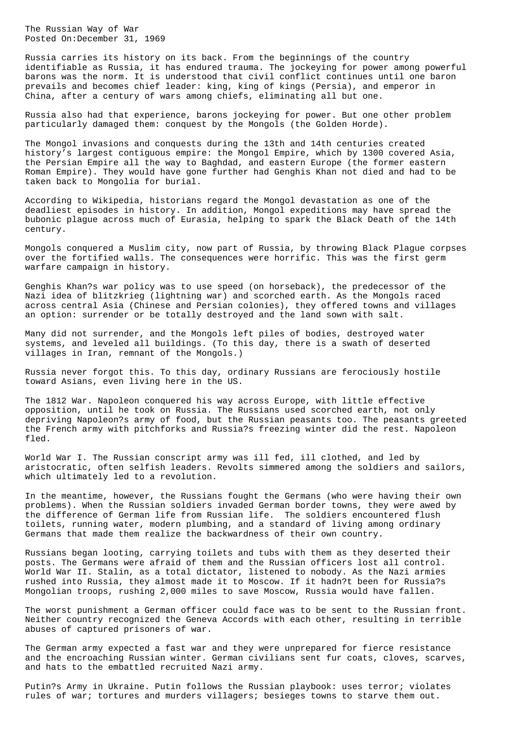The Russian Way of War Posted On:December 31, 1969

Russia carries its history on its back. From the beginnings of the country identifiable as Russia, it has endured trauma. The jockeying for power among powerful barons was the norm. It is understood that civil conflict continues until one baron prevails and becomes chief leader: king, king of kings (Persia), and emperor in China, after a century of wars among chiefs, eliminating all but one.

Russia also had that experience, barons jockeying for power. But one other problem particularly damaged them: conquest by the Mongols (the Golden Horde).

The Mongol invasions and conquests during the 13th and 14th centuries created history's largest contiguous empire: the Mongol Empire, which by 1300 covered Asia, the Persian Empire all the way to Baghdad, and eastern Europe (the former eastern Roman Empire). They would have gone further had Genghis Khan not died and had to be taken back to Mongolia for burial.

According to Wikipedia, historians regard the Mongol devastation as one of the deadliest episodes in history. In addition, Mongol expeditions may have spread the bubonic plague across much of Eurasia, helping to spark the Black Death of the 14th century.

Mongols conquered a Muslim city, now part of Russia, by throwing Black Plague corpses over the fortified walls. The consequences were horrific. This was the first germ warfare campaign in history.

Genghis Khan?s war policy was to use speed (on horseback), the predecessor of the Nazi idea of blitzkrieg (lightning war) and scorched earth. As the Mongols raced across central Asia (Chinese and Persian colonies), they offered towns and villages an option: surrender or be totally destroyed and the land sown with salt.

Many did not surrender, and the Mongols left piles of bodies, destroyed water systems, and leveled all buildings. (To this day, there is a swath of deserted villages in Iran, remnant of the Mongols.)

Russia never forgot this. To this day, ordinary Russians are ferociously hostile toward Asians, even living here in the US.

The 1812 War. Napoleon conquered his way across Europe, with little effective opposition, until he took on Russia. The Russians used scorched earth, not only depriving Napoleon?s army of food, but the Russian peasants too. The peasants greeted the French army with pitchforks and Russia?s freezing winter did the rest. Napoleon fled.

World War I. The Russian conscript army was ill fed, ill clothed, and led by aristocratic, often selfish leaders. Revolts simmered among the soldiers and sailors, which ultimately led to a revolution.

In the meantime, however, the Russians fought the Germans (who were having their own problems). When the Russian soldiers invaded German border towns, they were awed by the difference of German life from Russian life. The soldiers encountered flush toilets, running water, modern plumbing, and a standard of living among ordinary Germans that made them realize the backwardness of their own country.

Russians began looting, carrying toilets and tubs with them as they deserted their posts. The Germans were afraid of them and the Russian officers lost all control. World War II. Stalin, as a total dictator, listened to nobody. As the Nazi armies rushed into Russia, they almost made it to Moscow. If it hadn?t been for Russia?s Mongolian troops, rushing 2,000 miles to save Moscow, Russia would have fallen.

The worst punishment a German officer could face was to be sent to the Russian front. Neither country recognized the Geneva Accords with each other, resulting in terrible abuses of captured prisoners of war.

The German army expected a fast war and they were unprepared for fierce resistance and the encroaching Russian winter. German civilians sent fur coats, cloves, scarves, and hats to the embattled recruited Nazi army.

Putin?s Army in Ukraine. Putin follows the Russian playbook: uses terror; violates rules of war; tortures and murders villagers; besieges towns to starve them out.